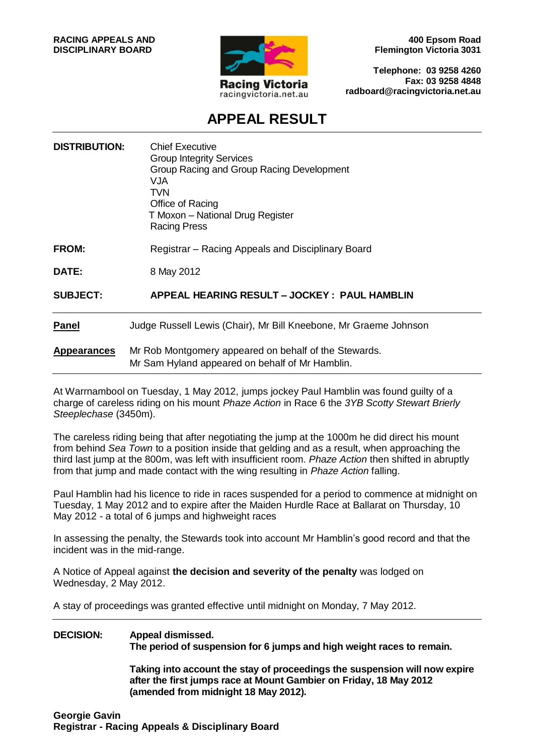

**400 Epsom Road Flemington Victoria 3031**

**Telephone: 03 9258 4260 Fax: 03 9258 4848 radboard@racingvictoria.net.au**

# **APPEAL RESULT**

| <b>DISTRIBUTION:</b> | <b>Chief Executive</b><br><b>Group Integrity Services</b><br>Group Racing and Group Racing Development<br>VJA<br><b>TVN</b><br>Office of Racing<br>T Moxon - National Drug Register<br><b>Racing Press</b> |
|----------------------|------------------------------------------------------------------------------------------------------------------------------------------------------------------------------------------------------------|
| <b>FROM:</b>         | Registrar – Racing Appeals and Disciplinary Board                                                                                                                                                          |
| <b>DATE:</b>         | 8 May 2012                                                                                                                                                                                                 |
| <b>SUBJECT:</b>      | APPEAL HEARING RESULT - JOCKEY: PAUL HAMBLIN                                                                                                                                                               |
| <b>Panel</b>         | Judge Russell Lewis (Chair), Mr Bill Kneebone, Mr Graeme Johnson                                                                                                                                           |
| <b>Appearances</b>   | Mr Rob Montgomery appeared on behalf of the Stewards.<br>Mr Sam Hyland appeared on behalf of Mr Hamblin.                                                                                                   |

At Warrnambool on Tuesday, 1 May 2012, jumps jockey Paul Hamblin was found guilty of a charge of careless riding on his mount *Phaze Action* in Race 6 the *3YB Scotty Stewart Brierly Steeplechase* (3450m).

The careless riding being that after negotiating the jump at the 1000m he did direct his mount from behind *Sea Town* to a position inside that gelding and as a result, when approaching the third last jump at the 800m, was left with insufficient room. *Phaze Action* then shifted in abruptly from that jump and made contact with the wing resulting in *Phaze Action* falling.

Paul Hamblin had his licence to ride in races suspended for a period to commence at midnight on Tuesday, 1 May 2012 and to expire after the Maiden Hurdle Race at Ballarat on Thursday, 10 May 2012 - a total of 6 jumps and highweight races

In assessing the penalty, the Stewards took into account Mr Hamblin's good record and that the incident was in the mid-range.

A Notice of Appeal against **the decision and severity of the penalty** was lodged on Wednesday, 2 May 2012.

A stay of proceedings was granted effective until midnight on Monday, 7 May 2012.

#### **DECISION: Appeal dismissed.**

**The period of suspension for 6 jumps and high weight races to remain.** 

**Taking into account the stay of proceedings the suspension will now expire after the first jumps race at Mount Gambier on Friday, 18 May 2012 (amended from midnight 18 May 2012).**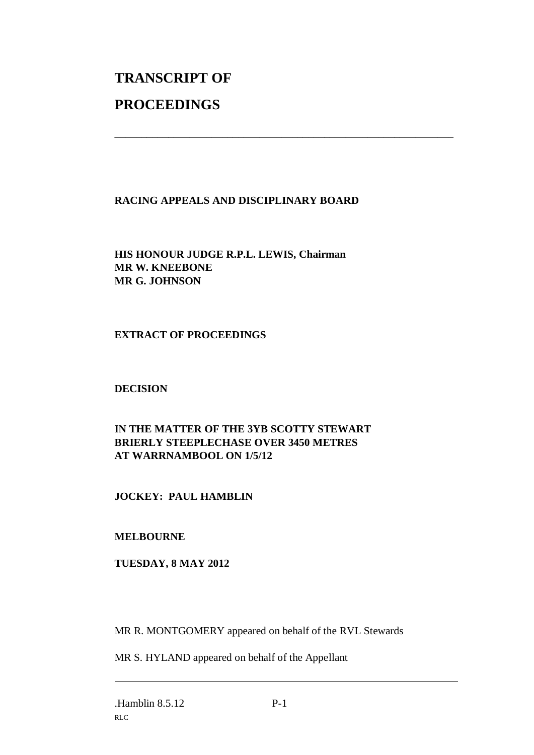# **TRANSCRIPT OF PROCEEDINGS**

### **RACING APPEALS AND DISCIPLINARY BOARD**

\_\_\_\_\_\_\_\_\_\_\_\_\_\_\_\_\_\_\_\_\_\_\_\_\_\_\_\_\_\_\_\_\_\_\_\_\_\_\_\_\_\_\_\_\_\_\_\_\_\_\_\_\_\_\_\_\_\_\_\_\_\_\_

**HIS HONOUR JUDGE R.P.L. LEWIS, Chairman MR W. KNEEBONE MR G. JOHNSON**

### **EXTRACT OF PROCEEDINGS**

# **DECISION**

# **IN THE MATTER OF THE 3YB SCOTTY STEWART BRIERLY STEEPLECHASE OVER 3450 METRES AT WARRNAMBOOL ON 1/5/12**

# **JOCKEY: PAUL HAMBLIN**

#### **MELBOURNE**

#### **TUESDAY, 8 MAY 2012**

MR R. MONTGOMERY appeared on behalf of the RVL Stewards

MR S. HYLAND appeared on behalf of the Appellant